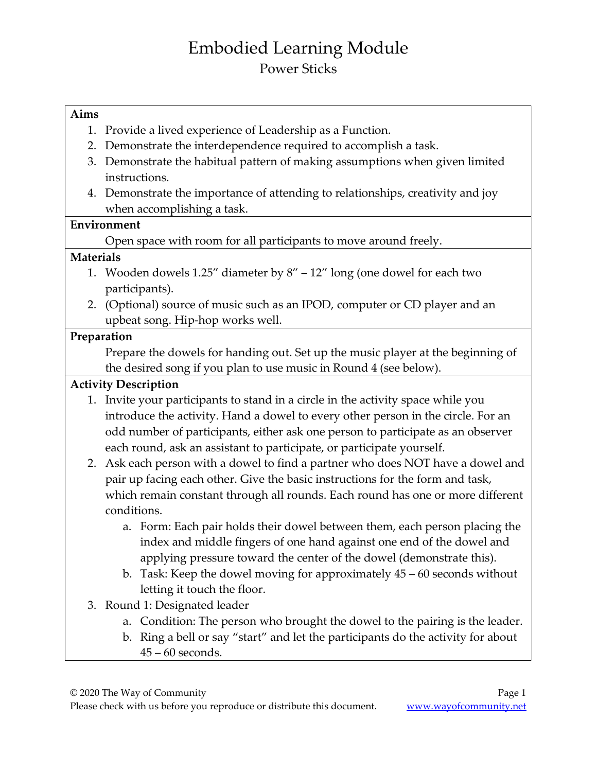# Embodied Learning Module Power Sticks

#### **Aims**

- 1. Provide a lived experience of Leadership as a Function.
- 2. Demonstrate the interdependence required to accomplish a task.
- 3. Demonstrate the habitual pattern of making assumptions when given limited instructions.
- 4. Demonstrate the importance of attending to relationships, creativity and joy when accomplishing a task.

#### **Environment**

Open space with room for all participants to move around freely.

### **Materials**

- 1. Wooden dowels 1.25" diameter by 8" 12" long (one dowel for each two participants).
- 2. (Optional) source of music such as an IPOD, computer or CD player and an upbeat song. Hip-hop works well.

### **Preparation**

Prepare the dowels for handing out. Set up the music player at the beginning of the desired song if you plan to use music in Round 4 (see below).

## **Activity Description**

- 1. Invite your participants to stand in a circle in the activity space while you introduce the activity. Hand a dowel to every other person in the circle. For an odd number of participants, either ask one person to participate as an observer each round, ask an assistant to participate, or participate yourself.
- 2. Ask each person with a dowel to find a partner who does NOT have a dowel and pair up facing each other. Give the basic instructions for the form and task, which remain constant through all rounds. Each round has one or more different conditions.
	- a. Form: Each pair holds their dowel between them, each person placing the index and middle fingers of one hand against one end of the dowel and applying pressure toward the center of the dowel (demonstrate this).
	- b. Task: Keep the dowel moving for approximately 45 60 seconds without letting it touch the floor.
- 3. Round 1: Designated leader
	- a. Condition: The person who brought the dowel to the pairing is the leader.
	- b. Ring a bell or say "start" and let the participants do the activity for about 45 – 60 seconds.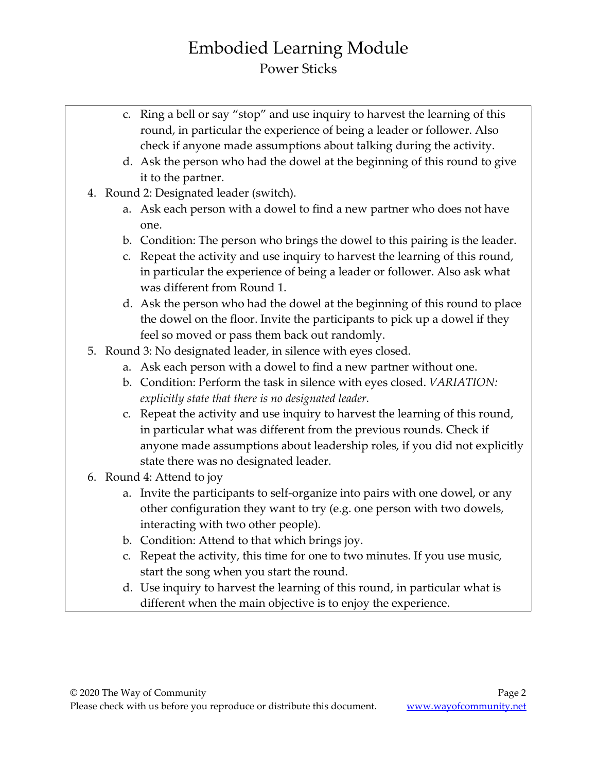# Embodied Learning Module Power Sticks

- c. Ring a bell or say "stop" and use inquiry to harvest the learning of this round, in particular the experience of being a leader or follower. Also check if anyone made assumptions about talking during the activity.
- d. Ask the person who had the dowel at the beginning of this round to give it to the partner.
- 4. Round 2: Designated leader (switch).
	- a. Ask each person with a dowel to find a new partner who does not have one.
	- b. Condition: The person who brings the dowel to this pairing is the leader.
	- c. Repeat the activity and use inquiry to harvest the learning of this round, in particular the experience of being a leader or follower. Also ask what was different from Round 1.
	- d. Ask the person who had the dowel at the beginning of this round to place the dowel on the floor. Invite the participants to pick up a dowel if they feel so moved or pass them back out randomly.
- 5. Round 3: No designated leader, in silence with eyes closed.
	- a. Ask each person with a dowel to find a new partner without one.
	- b. Condition: Perform the task in silence with eyes closed. *VARIATION: explicitly state that there is no designated leader.*
	- c. Repeat the activity and use inquiry to harvest the learning of this round, in particular what was different from the previous rounds. Check if anyone made assumptions about leadership roles, if you did not explicitly state there was no designated leader.
- 6. Round 4: Attend to joy
	- a. Invite the participants to self-organize into pairs with one dowel, or any other configuration they want to try (e.g. one person with two dowels, interacting with two other people).
	- b. Condition: Attend to that which brings joy.
	- c. Repeat the activity, this time for one to two minutes. If you use music, start the song when you start the round.
	- d. Use inquiry to harvest the learning of this round, in particular what is different when the main objective is to enjoy the experience.